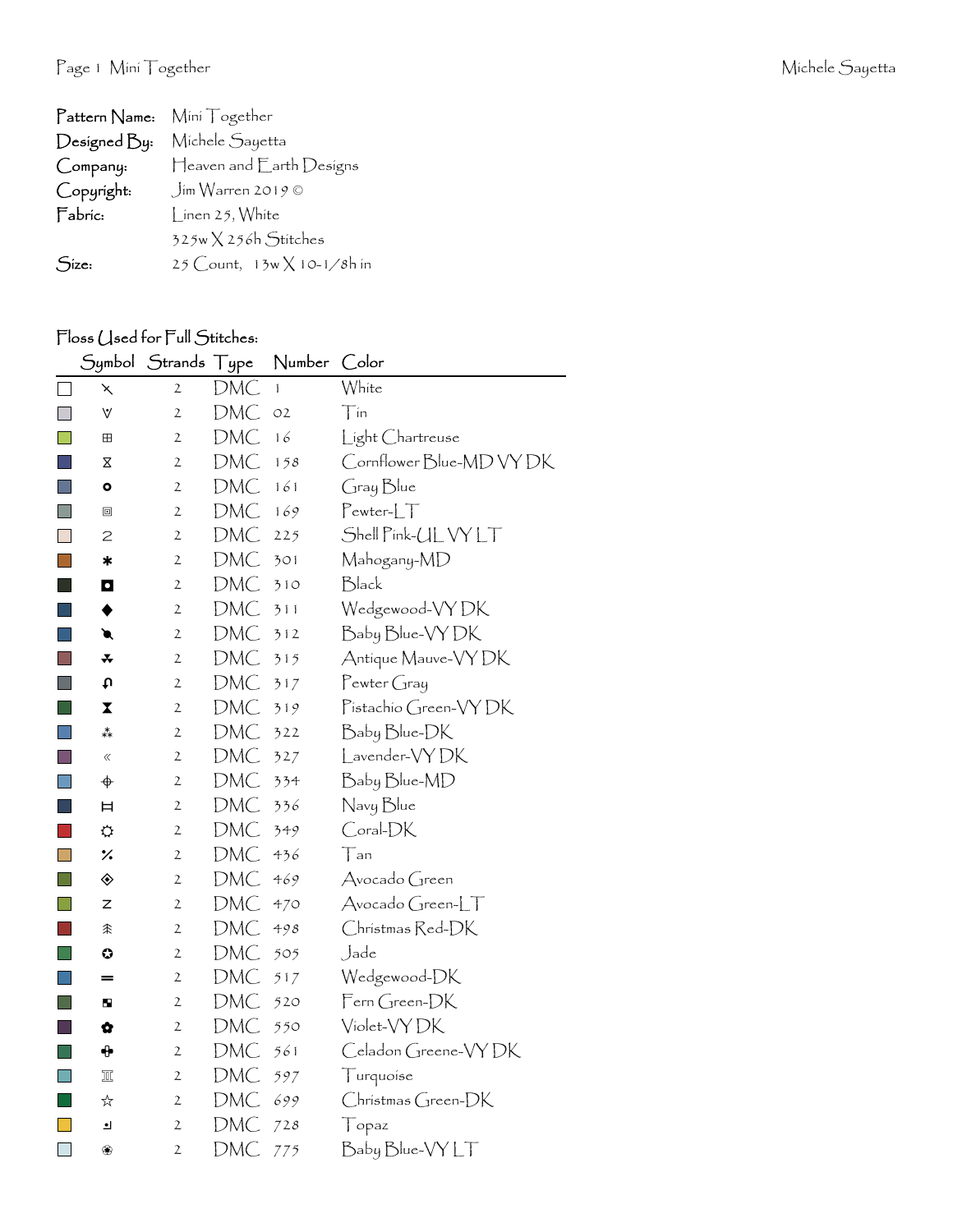| Pattern Name: Mini Together |                                   |
|-----------------------------|-----------------------------------|
| Designed By:                | Michele Sayetta                   |
| Company:                    | Heaven and Earth Designs          |
| Copyright:                  | $\int$ ím Warren 2019 ©           |
| Fabric:                     | Linen 25, White                   |
|                             | 325w X 256h Stitches              |
| Size:                       | 25 Count, $13w \times 10-1/8h$ in |

## Floss (Jsed for Full Stitches:

|           | Symbol                      | Strands Type   |            | Number       | Color                    |
|-----------|-----------------------------|----------------|------------|--------------|--------------------------|
| $\Box$    | ⋋                           | 2              | <b>DMC</b> | $\mathbf{1}$ | White                    |
| <b>I</b>  | ٧                           | $\overline{2}$ | <b>DMC</b> | O2           | Tín                      |
| <b>Ta</b> | ⊞                           | $\mathfrak{2}$ | DMC        | 16           | Light Chartreuse         |
|           | Χ                           | $\mathfrak{2}$ | <b>DMC</b> | 158          | Cornflower Blue-MD VY DK |
| H         | $\bullet$                   | $\mathfrak{2}$ | DMC        | 161          | Gray Blue                |
| E         | ▣                           | 2              | DMC        | 169          | $Pewter-LT$              |
| $\Box$    | 2                           | $\mathfrak{2}$ | DMC        | 225          | Shell Pink-UL VY LT      |
| ×.        | $\ast$                      | $\mathfrak{2}$ | DMC        | 301          | Mahogany-MD              |
|           | O                           | 2              | DMC        | 310          | Black                    |
|           |                             | $\mathfrak{2}$ | DMC        | 311          | Wedgewood-VYDK           |
|           | €                           | $\mathfrak{2}$ | DMC        | 312          | Baby Blue-VY DK          |
|           | *                           | $\mathbf 2$    | DMC        | 315          | Antique Mauve-VY DK      |
| i s       | c٠                          | $\mathfrak{2}$ | DMC        | 317          | $P$ ewter Gray           |
|           | X                           | 2              | DMC        | 319          | Pistachio Green-VYDK     |
| I.        | **                          | $\mathfrak{2}$ | DMC        | 322          | Baby Blue-DK             |
| П         | $\langle\!\langle$          | $\mathfrak{2}$ | DMC        | 327          | Lavender-VYDK            |
| $\Box$    | $\color{red} \blacklozenge$ | 2              | DMC        | 334          | Baby Blue-MD             |
|           | Ħ                           | 2              | DMC        | 336          | Navy Blue                |
|           | ⇔                           | $\mathfrak{2}$ | DMC        | 349          | Coral-DK                 |
| H         | $\frac{1}{2}$               | $\mathfrak{2}$ | DMC        | 436          | $\top$ an                |
|           | ◈                           | $\mathfrak{2}$ | <b>DMC</b> | 469          | Avocado Green            |
| l a       | z                           | 2              | <b>DMC</b> | 470          | Avocado Green-LT         |
|           | 余                           | $\mathbf{2}$   | DMC        | 498          | Christmas Red-DK         |
| l a l     | ⊙                           | 2              | DMC        | 505          | Jade                     |
|           | =                           | $\mathfrak{2}$ | <b>DMC</b> | 517          | Wedgewood-DK             |
| l a       | ш                           | 2              | <b>DMC</b> | 520          | Fern Green-DK            |
|           | Ġ                           | $\mathfrak{2}$ | DMC        | 550          | Violet-VY DK             |
| l a s     | ⊕                           | $\mathfrak{2}$ | <b>DMC</b> | 561          | Celadon Greene-VYDK      |
|           | Ⅲ                           | 2              | DMC        | 597          | Turquoise                |
| ×.        | ☆                           | 2              | DMC        | 699          | $Christmas Green-DK$     |
| ×.        | $\bullet$                   | $\mathfrak{2}$ | DMC        | 728          | $\top$ opaz              |
| $\Box$    | ❀                           | 2              | DMC        | 775          | Baby Blue-VY LT          |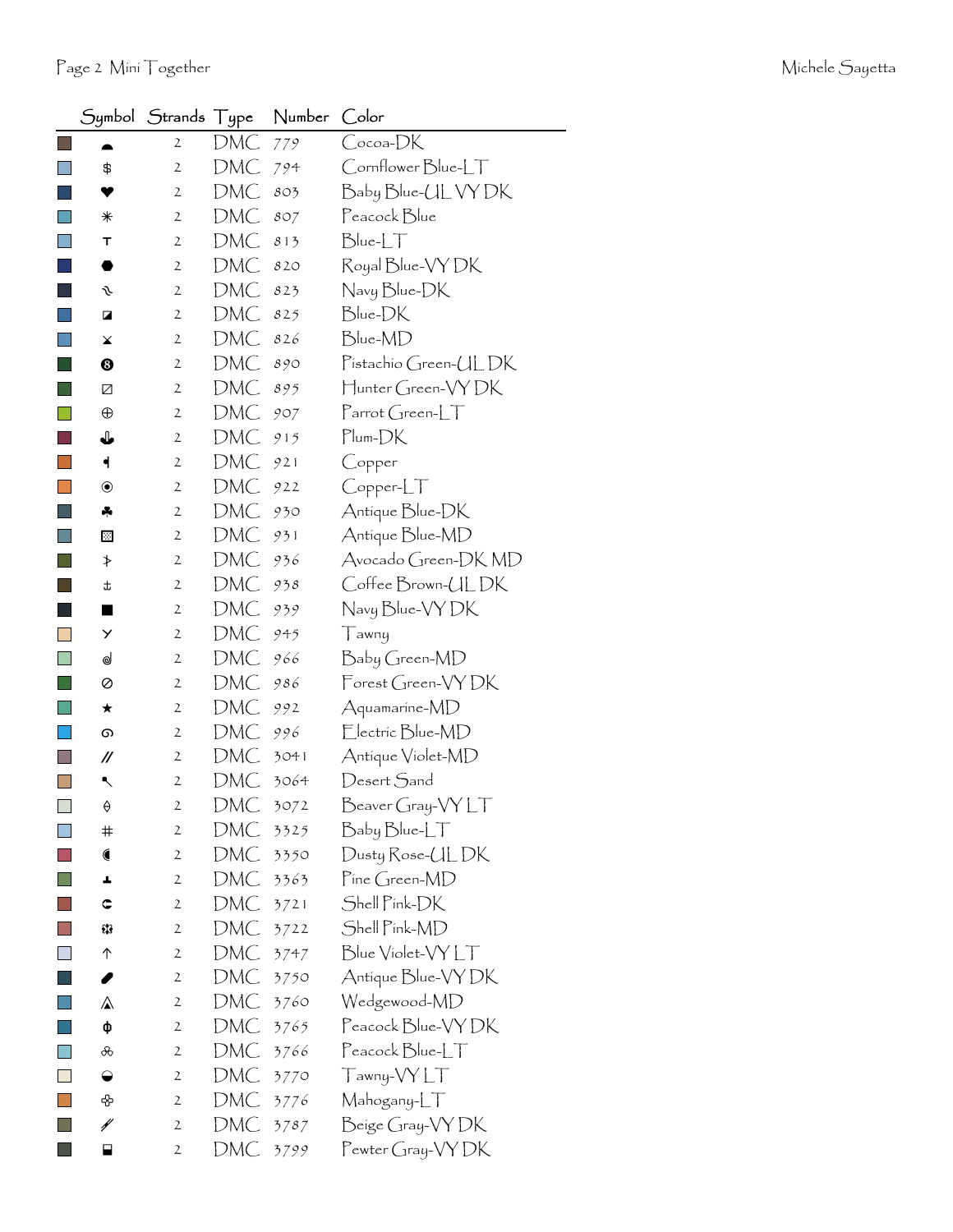|                             |                  | Symbol Strands Type |     | Number | Color                                                                     |
|-----------------------------|------------------|---------------------|-----|--------|---------------------------------------------------------------------------|
|                             | ≏                | $\mathbf{2}$        | DMC | 779    | Cocoa-DK                                                                  |
|                             | \$               | 2                   | DMC | 794    | Cornflower Blue-LT                                                        |
|                             | Y                | $\mathbf{2}$        | DMC | 803    | Baby Blue-CL VY DK                                                        |
|                             | ⋇                | 2                   | DMC | 807    | Peacock Blue                                                              |
|                             | т                | $\mathbf{2}$        | DMC | 813    | $Blue-LT$                                                                 |
|                             | ●                | $\mathbf{2}$        | DMC | 820    | Royal Blue-VY DK                                                          |
|                             | s                | 2                   | DMC | 823    | Navy Blue-DK                                                              |
|                             | Z                | $\mathbf{2}$        | DMC | 825    | Blue-DK                                                                   |
|                             | ¥                | $\mathbf{2}$        | DMC | 826    | Blue-MD                                                                   |
|                             | ❸                | 2                   | DMC | 890    | Pistachio Green-ULDK                                                      |
|                             | Ø                | $\mathbf{2}$        | DMC | 895    | Hunter Green-VYDK                                                         |
|                             | $\oplus$         | $\mathbf{2}$        | DMC | 907    | $\lceil \mathsf{arrot}(\mathsf{Green}\text{-}\llbracket \top \rrbracket)$ |
|                             | ⇓                | 2                   | DMC | 915    | Plum-DK                                                                   |
|                             | ┥                | $\mathbf{2}$        | DMC | 921    | Copper                                                                    |
|                             | $\circledbullet$ | 2                   | DMC | 922    | Copper-LT                                                                 |
|                             | 4                | $\mathbf{2}$        | DMC | 930    | Antique Blue-DK                                                           |
|                             | ⊠                | 2                   | DMC | 931    | Antique Blue-MD                                                           |
|                             | ≯                | 2                   | DMC | 936    | Avocado Green-DK MD                                                       |
|                             | t                | $\mathbf{2}$        | DMC | 938    | Coffee Brown-ULDK                                                         |
|                             | ■                | 2                   | DMC | 939    | Navy Blue-VY DK                                                           |
|                             | Y                | $\mathbf{2}$        | DMC | 945    | Tawny                                                                     |
| H                           | ⊌                | $\mathbf{2}$        | DMC | 966    | Baby Green-MD                                                             |
|                             | ⊘                | 2                   | DMC | 986    | Forest Green-VYDK                                                         |
|                             | ★                | $\mathbf{2}$        | DMC | 992    | Aquamarine-MD                                                             |
|                             | ை                | 2                   | DMC | 996    | Electric Blue-MD                                                          |
|                             | //               | 2                   | DMC | 3041   | Antique Violet-MD                                                         |
|                             | ↖                | $\mathfrak{2}$      | DMC | 3064   | Desert Sand                                                               |
| $\mathcal{L}_{\mathcal{A}}$ | ♦                | $\mathcal{P}$       | DMC | 3072   | $\frac{B}{C}$ Beaver Gray-VY LT                                           |
|                             | #                | 2                   | DMC | 3325   | Baby Blue-LT                                                              |
|                             |                  | $\mathbf{2}$        | DMC | 3350   | Dusty Rose-UL DK                                                          |
|                             | ┻                | 2                   | DMC | 3363   | Pine Green-MD                                                             |
|                             | ¢                | $\mathbf{2}$        | DMC | 3721   | Shell Pink-DK                                                             |
|                             | 93               | $\mathbf{2}$        | DMC | 3722   | Shell Pink-MD                                                             |
|                             | ↑                | 2                   | DMC | 3747   | Blue Violet-VYLT                                                          |
|                             | I                | $\mathbf{2}$        | DMC | 3750   | Antique Blue-VY DK                                                        |
|                             | ⚠                | $\mathbf{2}$        | DMC | 3760   | Wedgewood-MD                                                              |
|                             | ф                | 2                   | DMC | 3765   | Peacock Blue-VY DK                                                        |
|                             | ൿ                | $\mathbf{2}$        | DMC | 3766   | $\text{Peacock}$ $\text{Blue-LT}$                                         |
| $\mathbb{R}^3$              | $\bullet$        | $\mathbf{2}$        | DMC | 3770   | Tawny-VY LT                                                               |
|                             | ♧                | 2                   | DMC | 3776   | Mahogany-LT                                                               |
|                             | ¥                | $\mathbf{2}$        | DMC | 3787   | Beige Gray-VY DK                                                          |
|                             | ⊟                | 2                   | DMC | 3799   | Pewter Gray-VY DK                                                         |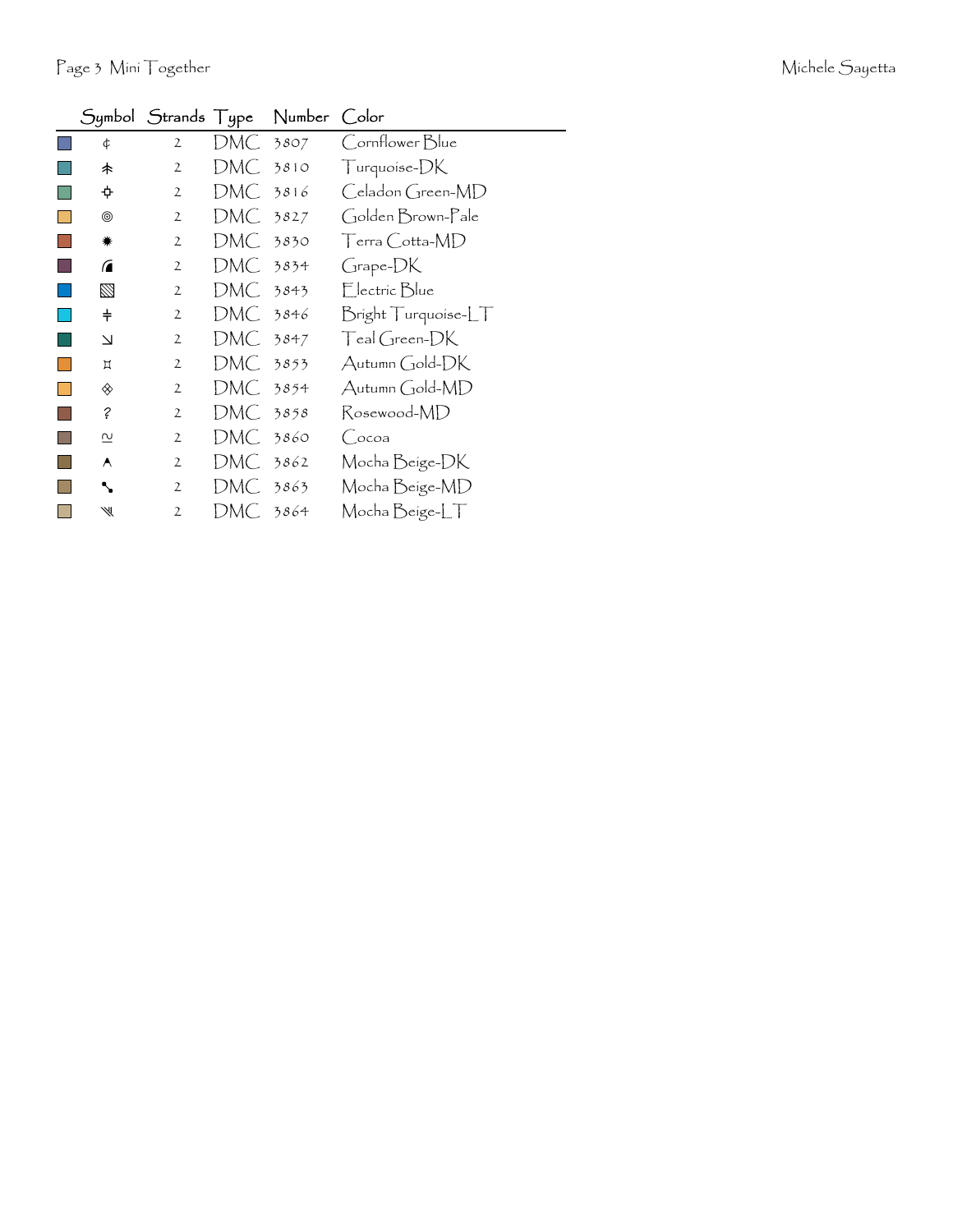|                         | Symbol Strands Type |            | Number | Color               |
|-------------------------|---------------------|------------|--------|---------------------|
| ¢                       | $\mathbf{2}$        | DMC 3807   |        | Cornflower Blue     |
| 未                       | 2                   | DMC 3810   |        | Turquoise-DK        |
|                         | 2                   | DMC        | 3816   | Celadon Green-MD    |
| ◉                       | 2                   | DMC 3827   |        | Golden Brown-Pale   |
| <b>☀</b>                | 2                   | DMC 3830   |        | Terra Cotta-MD      |
| $\sqrt{2}$              | $\mathfrak{2}$      | DMC 3834   |        | Grape-DK            |
| ⊠                       | $\mathfrak{2}$      | DMC 3843   |        | Electric Blue       |
| $\ddagger$              | 2                   | DMC -      | 3846   | Bright Turquoise-LT |
| Δ                       | 2                   | $DMC$ 3847 |        | Teal Green-DK       |
| Д                       | $\mathfrak{2}$      | DMC 3853   |        | Autumn Gold-DK      |
| ◈                       | $\mathfrak{2}$      | DMC-       | 3854   | Autumn Gold-MD      |
| ?                       | 2                   | DMC 3858   |        | Rosewood-MD         |
| $\overline{\mathsf{c}}$ | 2                   | DMC .      | 3860   | (Cocoa              |
| A                       | 2                   | DMC-       | 3862   | Mocha Beige-DK      |
| ↖                       | $\mathbf{2}$        | DMC 3863   |        | Mocha Beige-MD      |
| ₩                       | 2                   | DMC        | 3864   | Mocha Beige-LT      |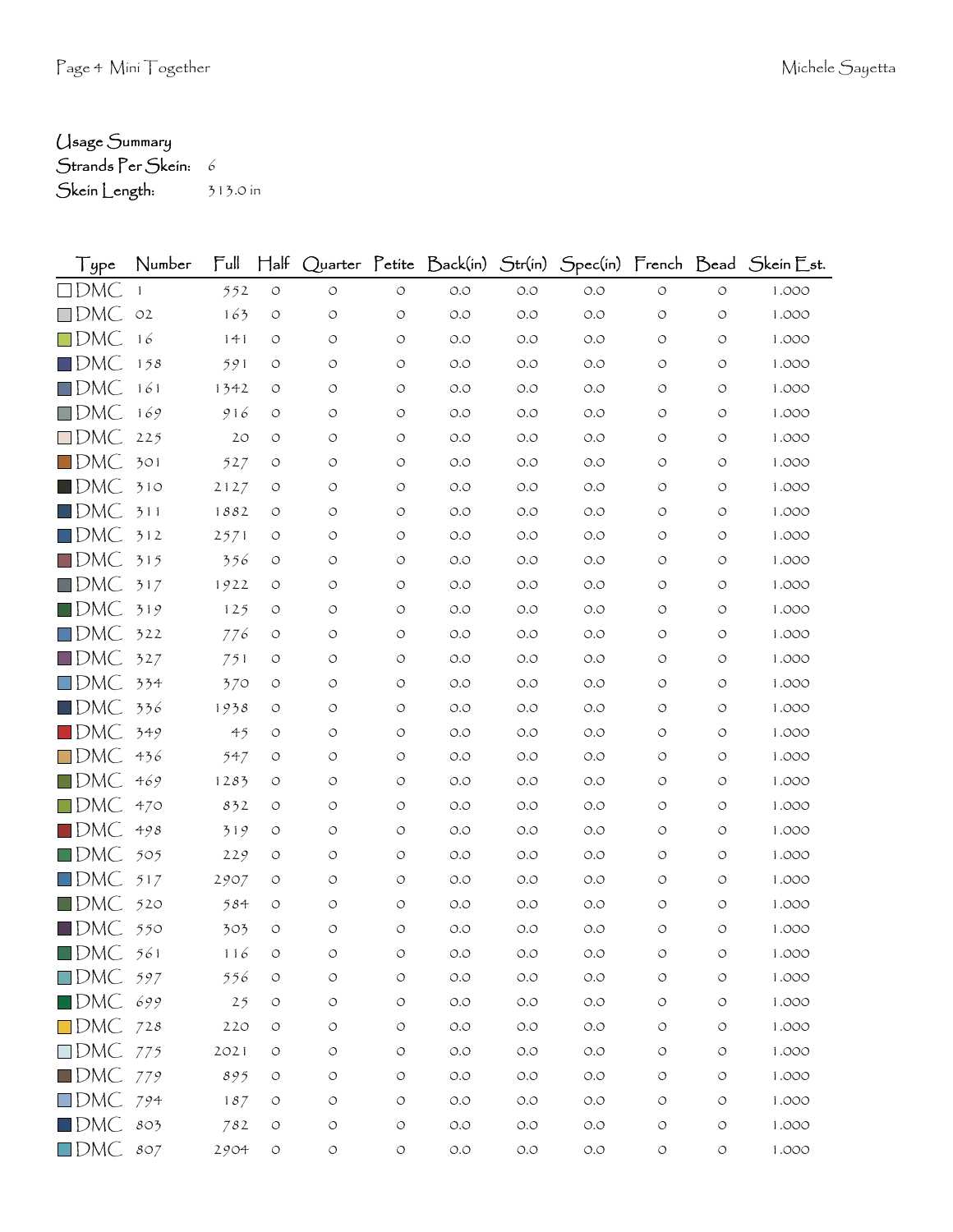## Usage Summary

Strands Per Skein: 6 Skein Length: 313.0 in

| Type                   | Number | Full | $H$ alf            |                    |            |                      |       |       |            |                    | Quarter Petite Back(in) Str(in) Spec(in) French Bead Skein Est. |
|------------------------|--------|------|--------------------|--------------------|------------|----------------------|-------|-------|------------|--------------------|-----------------------------------------------------------------|
| $\Box$ DMC             |        | 552  | $\bigcirc$         | $\circlearrowleft$ | $\circ$    | $O.O$                | $O.O$ | O.O   | $\circ$    | $\circ$            | 1.000                                                           |
| $\square$ DMC          | O2     | 163  | O                  | $\circ$            | O          | O.O                  | O.O   | O.O   | O          | O                  | 1.000                                                           |
| $\square$ DMC          | 16     | 141  | O                  | O                  | O          | O.O                  | O.O   | O.O   | O          | O                  | 1.000                                                           |
| $\Box$ DMC             | 158    | 591  | O                  | O                  | O          | O.O                  | O.O   | O.O   | O          | O                  | 1.000                                                           |
| $\Box$ DMC             | 161    | 1342 | O                  | O                  | O          | O.O                  | O.O   | O.O   | O          | O                  | 1.000                                                           |
| $\Box$ DMC             | 169    | 916  | O                  | O                  | O          | O.O                  | O.O   | O.O   | O          | O                  | 1.000                                                           |
| $\Box$ DMC             | 225    | 20   | O                  | O                  | O          | O.O                  | O.O   | O.O   | O          | O                  | 1.000                                                           |
| $\Box$ DMC             | 301    | 527  | O                  | O                  | $\circ$    | O.O                  | O.O   | O.O   | O          | O                  | 1.000                                                           |
| $\square$ DMC          | 310    | 2127 | O                  | O                  | O          | O.O                  | O.O   | O.O   | O          | O                  | 1.000                                                           |
| $\Box$ DMC             | 311    | 1882 | O                  | O                  | O          | O.O                  | O.O   | O.O   | O          | O                  | 1.000                                                           |
| $\Box$ DMC             | 312    | 2571 | O                  | O                  | O          | $O.O$                | O.O   | O.O   | O          | O                  | 1.000                                                           |
| $\Box$ DMC             | 315    | 356  | O                  | O                  | $\circ$    | O.O                  | O.O   | O.O   | O          | O                  | 1.000                                                           |
| $\Box$ DMC             | 317    | 1922 | O                  | O                  | O          | $O.O$                | O.O   | O.O   | O          | O                  | 1.000                                                           |
| $\blacksquare$ DMC     | 319    | 125  | O                  | O                  | O          | $O.O$                | O.O   | O.O   | O          | O                  | 1.000                                                           |
| $\Box$ DMC             | 322    | 776  | O                  | O                  | O          | O.O                  | O.O   | O.O   | O          | O                  | 1.000                                                           |
| $\Box$ DMC             | 327    | 751  | O                  | O                  | O          | $O.O$                | O.O   | O.O   | O          | O                  | 1.000                                                           |
| $\square$ DMC          | 334    | 370  | O                  | O                  | O          | O.O                  | O.O   | O.O   | O          | O                  | 1.000                                                           |
| $\blacksquare$ DMC     | 336    | 1938 | O                  | O                  | O          | O.O                  | O.O   | O.O   | O          | O                  | 1.000                                                           |
| $\blacksquare$ DMC     | 349    | 45   | O                  | O                  | O          | O.O                  | O.O   | O.O   | O          | O                  | 1.000                                                           |
| $\Box$ DMC             | 436    | 547  | O                  | O                  | O          | O.O                  | O.O   | O.O   | O          | O                  | 1.000                                                           |
| $\Box$ DMC             | 469    | 1283 | O                  | O                  | O          | O.O                  | O.O   | O.O   | O          | O                  | 1.000                                                           |
| $\Box$ DMC             | 470    | 832  | O                  | O                  | O          | O.O                  | O.O   | O.O   | O          | O                  | 1.000                                                           |
| $\blacksquare$ dmC     | 498    | 319  | O                  | O                  | $\circ$    | O.O                  | O.O   | O.O   | O          | O                  | 1.000                                                           |
| $\Box$ DMC             | 505    | 229  | O                  | O                  | $\circ$    | O.O                  | O.O   | O.O   | O          | O                  | 1.000                                                           |
| $\square$ DMC          | 517    | 2907 | O                  | O                  | O          | O.O                  | O.O   | O.O   | O          | O                  | 1.000                                                           |
| $\blacksquare$ DMC     | 520    | 584  | O                  | O                  | O          | O.O                  | O.O   | O.O   | O          | O                  | 1.000                                                           |
| $\blacksquare$ DMC     | 550    | 303  | O                  | O                  | $\circ$    | O.O                  | O.O   | O.O   | O          | O                  | 1.000                                                           |
| $\blacksquare$ DMC     | 561    | 116  | O                  | O                  | О          | O.O                  | O.O   | O.O   | О          | О                  | 1.000                                                           |
| $\square$ DMC          | 597    | 556  | O                  | $\circ$            | $\circ$    | $O.O$                | O.O   | O.O   | O          | O                  | 1.000                                                           |
| DMC 699                |        | 25   | $\circ$            | $\circ$            | $\bigcirc$ | $\circ$ .<br>$\circ$ | $O.O$ | O.O   | O          | O                  | 1.000                                                           |
| $\Box$ DMC 728         |        | 220  | O                  | O                  | O          | $O.O$                | $O.O$ | $O.O$ | O          | O                  | 1.000                                                           |
| $\Box$ DMC 775         |        | 2021 | O                  | O                  | O          | $O.O$                | $O.O$ | $O.O$ | O          | O                  | 1.000                                                           |
| $\blacksquare$ DMC     | 779    | 895  | O                  | $\circ$            | O          | $O.O$                | O.O   | $O.O$ | O          | O                  | 1.000                                                           |
| $\Box$ DMC 794         |        | 187  | $\circ$            | O                  | O          | $O.O$                | $O.O$ | O.O   | O          | O                  | 1.000                                                           |
| $\blacksquare$ DMC 803 |        | 782  | $\bigcirc$         | $\bigcirc$         | $\bigcirc$ | $O.O$                | $O.O$ | $O.O$ | O          | O                  | 1.000                                                           |
| $\Box$ DMC 807         |        | 2904 | $\circlearrowleft$ | $\bigcirc$         | $\bigcirc$ | $O.O$                | $O.O$ | $O.O$ | $\bigcirc$ | $\circlearrowleft$ | 1.000                                                           |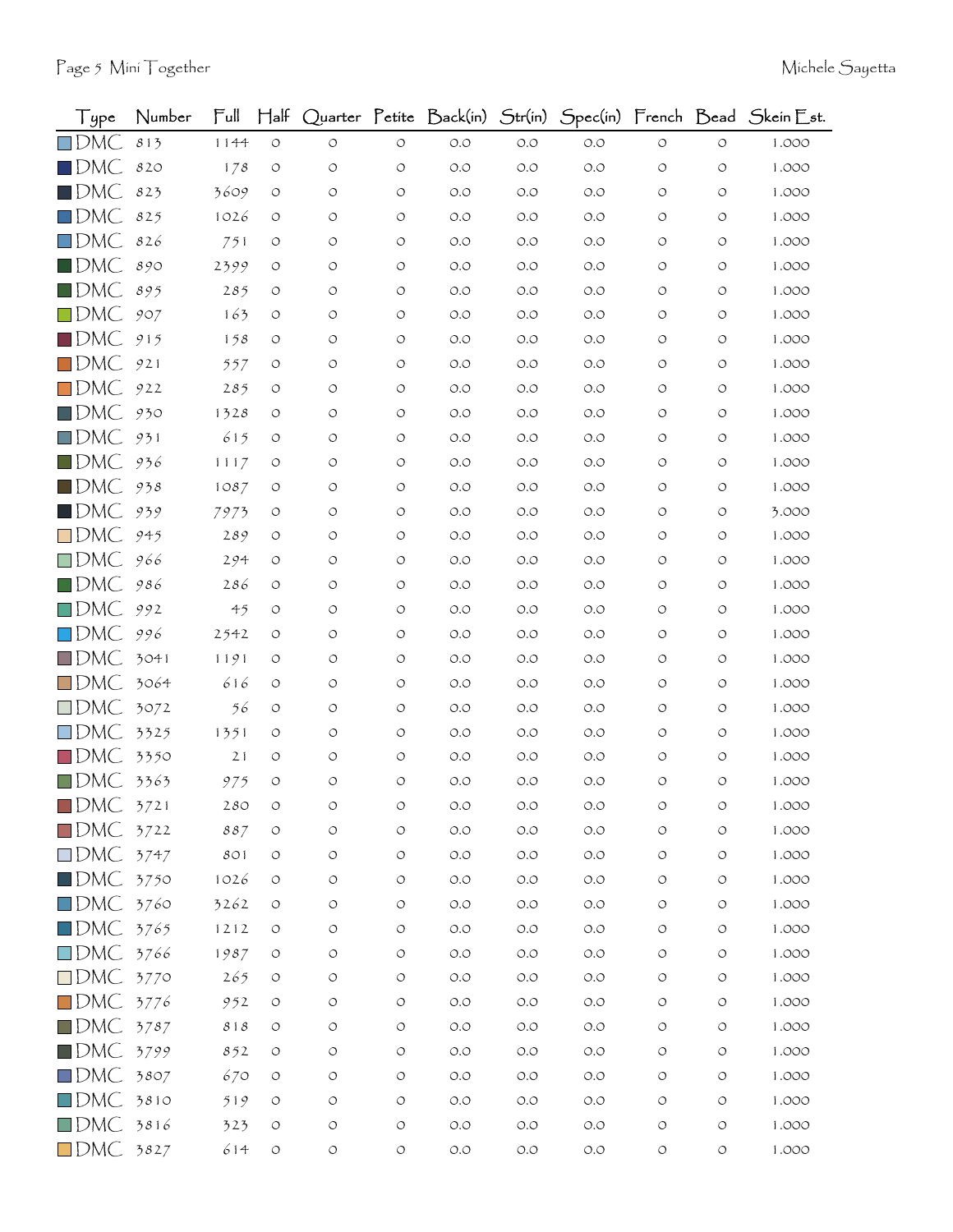| Type               | Number | Full           | $H$ alf            |                    |                    |       |       |       |                    |                    | Quarter Petite Back(in) Str(in) Spec(in) French Bead Skein Est. |
|--------------------|--------|----------------|--------------------|--------------------|--------------------|-------|-------|-------|--------------------|--------------------|-----------------------------------------------------------------|
| $\square$ DMC      | 813    | 1144           | $\circ$            | O                  | O                  | O.O   | $O.O$ | $O.O$ | O                  | O                  | 1.000                                                           |
| $\blacksquare$ DMC | 820    | 178            | $\circ$            | $\circlearrowleft$ | O                  | O.O   | O.O   | $O.O$ | $\circ$            | O                  | 1.000                                                           |
| $\blacksquare$ DMC | 823    | 3609           | $\circ$            | O                  | O                  | O.O   | O.O   | $O.O$ | O                  | O                  | 1.000                                                           |
| $\square$ DMC      | 825    | 1026           | O                  | O                  | $\circ$            | O.O   | O.O   | O.O   | O                  | O                  | 1.000                                                           |
| $\square$ DMC      | 826    | 751            | O                  | $\circ$            | O                  | O.O   | 0.0   | O.O   | O                  | O                  | 1.000                                                           |
| $\blacksquare$ DMC | 890    | 2399           | $\circ$            | O                  | O                  | O.O   | O.O   | O.O   | O                  | O                  | 1.000                                                           |
| $\blacksquare$ DMC | 895    | 285            | $\circ$            | O                  | O                  | O.O   | O.O   | O.O   | O                  | O                  | 1.000                                                           |
| $\square$ DMC      | 907    | 163            | $\circ$            | O                  | O                  | O.O   | 0.0   | $O.O$ | O                  | O                  | 1.000                                                           |
| $\blacksquare$ DMC | 915    | 158            | $\circ$            | O                  | O                  | O.O   | O.O   | O.O   | O                  | O                  | 1.000                                                           |
| $\square$ DMC      | 921    | 557            | O                  | $\circ$            | O                  | O.O   | O.O   | O.O   | O                  | O                  | 1.000                                                           |
| $\square$ DMC      | 922    | 285            | $\circ$            | O                  | O                  | O.O   | 0.0   | $O.O$ | O                  | O                  | 1.000                                                           |
| $\blacksquare$ DMC | 930    | 1328           | O                  | O                  | O                  | O.O   | 0.0   | O.O   | O                  | O                  | 1.000                                                           |
| $\square$ DMC      | 931    | 615            | $\circ$            | O                  | $\circ$            | O.O   | O.O   | O.O   | O                  | O                  | 1.000                                                           |
| $\blacksquare$ DMC | 936    | 1117           | $\circ$            | O                  | O                  | O.O   | 0.0   | O.O   | O                  | O                  | 1.000                                                           |
| $\blacksquare$ DMC | 938    | 1087           | $\circ$            | O                  | O                  | O.O   | O.O   | O.O   | O                  | O                  | 1.000                                                           |
| $\blacksquare$ DMC | 939    | 7973           | $\circ$            | O                  | O                  | O.O   | 0.0   | O.O   | $\circ$            | O                  | 3.000                                                           |
| $\square$ DMC      | 945    | 289            | O                  | O                  | O                  | O.O   | 0.0   | O.O   | O                  | O                  | 1.000                                                           |
| $\square$ DMC      | 966    | 294            | $\circ$            | $\circ$            | O                  | O.O   | 0.0   | O.O   | O                  | O                  | 1.000                                                           |
| $\square$ DMC      | 986    | 286            | $\circ$            | O                  | O                  | O.O   | O.O   | O.O   | O                  | O                  | 1.000                                                           |
| $\square$ DMC      | 992    | 4 <sub>5</sub> | O                  | O                  | O                  | O.O   | 0.0   | O.O   | O                  | O                  | 1.000                                                           |
| $\square$ DMC      | 996    | 2542           | $\circ$            | O                  | O                  | O.O   | 0.0   | $O.O$ | O                  | O                  | 1.000                                                           |
| $\square$ DMC      | 3041   | 1191           | $\circ$            | O                  | O                  | O.O   | O.O   | O.O   | O                  | O                  | 1.000                                                           |
| $\square$ DMC      | 3064   | 616            | O                  | O                  | O                  | O.O   | 0.0   | O.O   | O                  | O                  | 1.000                                                           |
| $\square$ DMC      | 3072   | 56             | $\circ$            | $\circ$            | $\circ$            | O.O   | 0.0   | O.O   | O                  | O                  | 1.000                                                           |
| $\square$ DMC      | 3325   | 1351           | $\circ$            | O                  | O                  | O.O   | 0.0   | O.O   | O                  | O                  | 1.000                                                           |
| $\Box$ DMC         | 3350   | 21             | $\circ$            | O                  | O                  | O.O   | O.O   | O.O   | O                  | O                  | 1.000                                                           |
| $\square$ DMC      | 3363   | 975            | $\circ$            | $\circ$            | O                  | O.O   | O.O   | O.O   | $\circ$            | O                  | 1.000                                                           |
| $\blacksquare$ DMC | 3721   | 280            | O                  | $\circ$            | O                  | $O.O$ | 0.0   | O.O   | $\circ$            | O                  | 1.000                                                           |
| $\blacksquare$ DMC | 3722   | 887            | $\circ$            | $\bigcirc$         | $\circlearrowleft$ | $O.O$ | $O.O$ | $O.O$ | $\circlearrowleft$ | $\circlearrowleft$ | 1.000                                                           |
| $\square$ DMC      | 3747   | 801            | $\circ$            | $\circlearrowleft$ | $\circ$            | O.O   | $O.O$ | $O.O$ | $\circ$            | O                  | 1.000                                                           |
| $\blacksquare$ DMC | 3750   | 1026           | $\circ$            | $\circ$            | O                  | O.O   | $O.O$ | $O.O$ | O                  | O                  | 1.000                                                           |
| $\square$ DMC      | 3760   | 3262           | $\circ$            | $\circlearrowleft$ | O                  | O.O   | $O.O$ | $O.O$ | $\circ$            | O                  | 1.000                                                           |
| $\square$ DMC      | 3765   | 1212           | $\circ$            | $\circlearrowleft$ | O                  | O.O   | $O.O$ | $O.O$ | $\circ$            | O                  | 1.000                                                           |
| $\square$ DMC      | 3766   | 1987           | $\circlearrowleft$ | $\circ$            | O                  | $O.O$ | $O.O$ | $O.O$ | $\circ$            | O                  | 1.000                                                           |
| $\square$ DMC      | 3770   | 265            | $\circ$            | $\circlearrowleft$ | O                  | O.O   | $O.O$ | $O.O$ | $\circlearrowleft$ | O                  | 1.000                                                           |
| $\square$ DMC      | 3776   | 952            | $\circ$            | $\circ$            | O                  | O.O   | $O.O$ | $O.O$ | $\circ$            | O                  | 1.000                                                           |
| $\blacksquare$ DMC | 3787   | $8\;$ i $8\;$  | $\circ$            | $\bigcirc$         | O                  | $O.O$ | $O.O$ | $O.O$ | $\circ$            | O                  | 1.000                                                           |
| $\blacksquare$ DMC | 3799   | 852            | $\circlearrowleft$ | $\circlearrowleft$ | O                  | O.O   | $O.O$ | $O.O$ | $\circlearrowleft$ | O                  | 1.000                                                           |
| $\square$ DMC      | 3807   | 670            | $\circ$            | $\circ$            | O                  | O.O   | $O.O$ | $O.O$ | $\circ$            | O                  | 1.000                                                           |
| $\square$ DMC      | 3810   | 519            | $\circ$            | $\bigcirc$         | O                  | $O.O$ | $O.O$ | $O.O$ | $\circ$            | O                  | 1.000                                                           |
| $\square$ DMC      | 3816   | 323            | $\circ$            | $\circlearrowleft$ | $\circlearrowleft$ | $O.O$ | $O.O$ | $O.O$ | $\circlearrowleft$ | $\circlearrowleft$ | 1.000                                                           |
| $\Box$ DMC 3827    |        | 614            | $\circlearrowleft$ | $\circlearrowleft$ | $\circlearrowleft$ | $O.O$ | $O.O$ | $O.O$ | $\circ$            | $\circlearrowleft$ | 1.000                                                           |